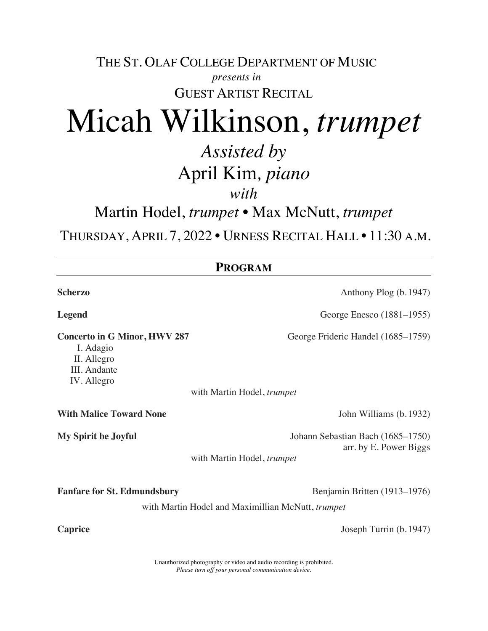THE ST. OLAF COLLEGE DEPARTMENT OF MUSIC *presents in*

GUEST ARTIST RECITAL

## Micah Wilkinson, *trumpet*

## *Assisted by* April Kim*, piano*

*with*

Martin Hodel, *trumpet •* Max McNutt, *trumpet*

THURSDAY, APRIL 7, 2022 • URNESS RECITAL HALL • 11:30 A.M.

| <b>PROGRAM</b>                                                                                 |                                                             |
|------------------------------------------------------------------------------------------------|-------------------------------------------------------------|
| <b>Scherzo</b>                                                                                 | Anthony Plog (b. 1947)                                      |
| Legend                                                                                         | George Enesco (1881–1955)                                   |
| <b>Concerto in G Minor, HWV 287</b><br>I. Adagio<br>II. Allegro<br>III. Andante<br>IV. Allegro | George Frideric Handel (1685–1759)                          |
|                                                                                                | with Martin Hodel, trumpet                                  |
| <b>With Malice Toward None</b>                                                                 | John Williams (b. 1932)                                     |
| <b>My Spirit be Joyful</b>                                                                     | Johann Sebastian Bach (1685–1750)<br>arr. by E. Power Biggs |
|                                                                                                | with Martin Hodel, trumpet                                  |
| <b>Fanfare for St. Edmundsbury</b>                                                             | Benjamin Britten (1913–1976)                                |
|                                                                                                | with Martin Hodel and Maximillian McNutt, trumpet           |
| <b>Caprice</b>                                                                                 | Joseph Turrin (b. 1947)                                     |

Unauthorized photography or video and audio recording is prohibited. *Please turn off your personal communication device.*